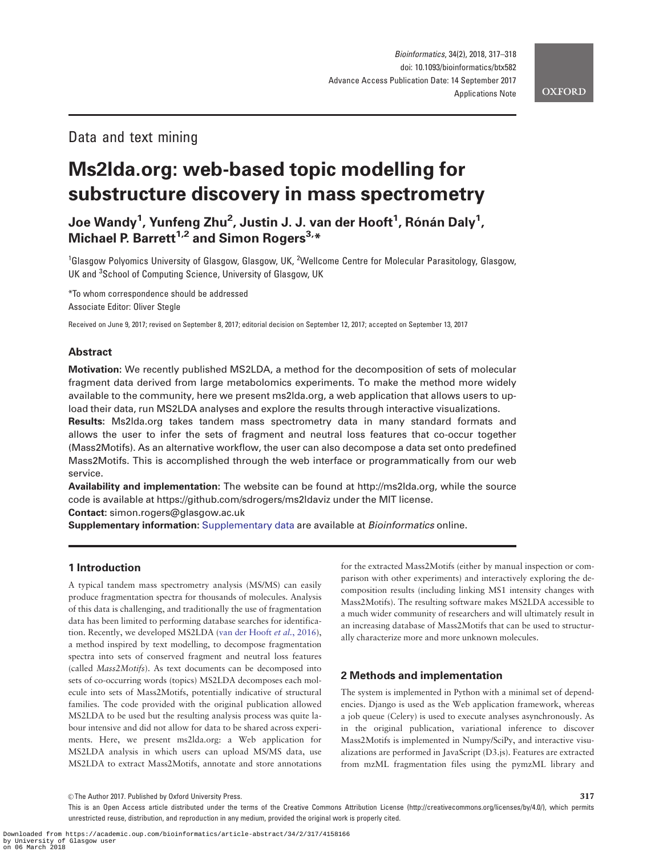# Data and text mining

# Ms2lda.org: web-based topic modelling for substructure discovery in mass spectrometry

Joe Wandy<sup>1</sup>, Yunfeng Zhu<sup>2</sup>, Justin J. J. van der Hooft<sup>1</sup>, Rónán Daly<sup>1</sup>, Michael P. Barrett<sup>1,2</sup> and Simon Rogers<sup>3,\*</sup>

<sup>1</sup>Glasgow Polyomics University of Glasgow, Glasgow, UK, <sup>2</sup>Wellcome Centre for Molecular Parasitology, Glasgow, UK and <sup>3</sup>School of Computing Science, University of Glasgow, UK

\*To whom correspondence should be addressed Associate Editor: Oliver Stegle

Received on June 9, 2017; revised on September 8, 2017; editorial decision on September 12, 2017; accepted on September 13, 2017

# Abstract

Motivation: We recently published MS2LDA, a method for the decomposition of sets of molecular fragment data derived from large metabolomics experiments. To make the method more widely available to the community, here we present ms2lda.org, a web application that allows users to upload their data, run MS2LDA analyses and explore the results through interactive visualizations.

Results: Ms2lda.org takes tandem mass spectrometry data in many standard formats and allows the user to infer the sets of fragment and neutral loss features that co-occur together (Mass2Motifs). As an alternative workflow, the user can also decompose a data set onto predefined Mass2Motifs. This is accomplished through the web interface or programmatically from our web service.

Availability and implementation: The website can be found at [http://ms2lda.org,](http://ms2lda.org) while the source code is available at<https://github.com/sdrogers/ms2ldaviz> under the MIT license.

Contact: simon.rogers@glasgow.ac.uk

Supplementary information: [Supplementary data](https://academic.oup.com/bioinformatics/article-lookup/doi/10.1093/bioinformatics/btx582#supplementary-data) are available at Bioinformatics online.

## 1 Introduction

A typical tandem mass spectrometry analysis (MS/MS) can easily produce fragmentation spectra for thousands of molecules. Analysis of this data is challenging, and traditionally the use of fragmentation data has been limited to performing database searches for identification. Recently, we developed MS2LDA [\(van der Hooft](#page-1-0) et al., 2016), a method inspired by text modelling, to decompose fragmentation spectra into sets of conserved fragment and neutral loss features (called Mass2Motifs). As text documents can be decomposed into sets of co-occurring words (topics) MS2LDA decomposes each molecule into sets of Mass2Motifs, potentially indicative of structural families. The code provided with the original publication allowed MS2LDA to be used but the resulting analysis process was quite labour intensive and did not allow for data to be shared across experiments. Here, we present ms2lda.org: a Web application for MS2LDA analysis in which users can upload MS/MS data, use MS2LDA to extract Mass2Motifs, annotate and store annotations for the extracted Mass2Motifs (either by manual inspection or comparison with other experiments) and interactively exploring the decomposition results (including linking MS1 intensity changes with Mass2Motifs). The resulting software makes MS2LDA accessible to a much wider community of researchers and will ultimately result in an increasing database of Mass2Motifs that can be used to structurally characterize more and more unknown molecules.

## 2 Methods and implementation

The system is implemented in Python with a minimal set of dependencies. Django is used as the Web application framework, whereas a job queue (Celery) is used to execute analyses asynchronously. As in the original publication, variational inference to discover Mass2Motifs is implemented in Numpy/SciPy, and interactive visualizations are performed in JavaScript (D3.js). Features are extracted from mzML fragmentation files using the pymzML library and

 $\circ$ The Author 2017. Published by Oxford University Press.  $317$ 

This is an Open Access article distributed under the terms of the Creative Commons Attribution License (http://creativecommons.org/licenses/by/4.0/), which permits unrestricted reuse, distribution, and reproduction in any medium, provided the original work is properly cited.